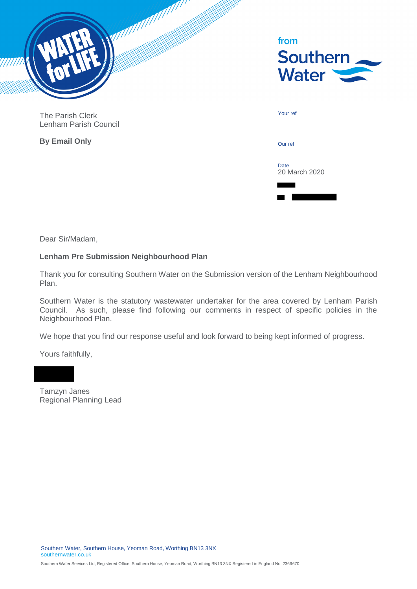

| from<br><b>Southern</b><br><b>Water</b> |  |
|-----------------------------------------|--|
| Your ref                                |  |
| Our ref                                 |  |
| <b>Date</b><br>20 March 2020            |  |

The Parish Clerk Lenham Parish Council

**By Email Only**

Dear Sir/Madam,

# **Lenham Pre Submission Neighbourhood Plan**

Thank you for consulting Southern Water on the Submission version of the Lenham Neighbourhood Plan.

Southern Water is the statutory wastewater undertaker for the area covered by Lenham Parish Council. As such, please find following our comments in respect of specific policies in the Neighbourhood Plan.

We hope that you find our response useful and look forward to being kept informed of progress.

Yours faithfully,

Tamzyn Janes Regional Planning Lead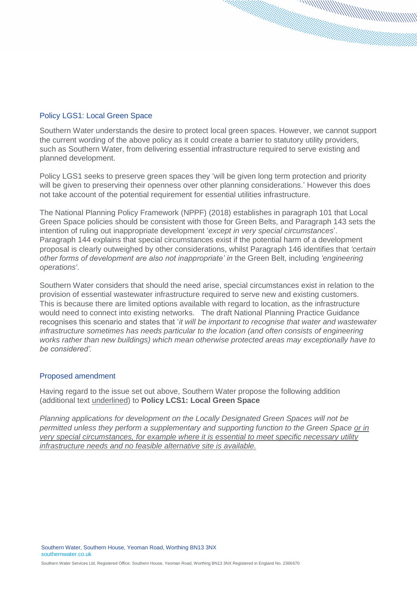## Policy LGS1: Local Green Space

Southern Water understands the desire to protect local green spaces. However, we cannot support the current wording of the above policy as it could create a barrier to statutory utility providers, such as Southern Water, from delivering essential infrastructure required to serve existing and planned development.

Policy LGS1 seeks to preserve green spaces they 'will be given long term protection and priority will be given to preserving their openness over other planning considerations.' However this does not take account of the potential requirement for essential utilities infrastructure.

The National Planning Policy Framework (NPPF) (2018) establishes in paragraph 101 that Local Green Space policies should be consistent with those for Green Belts, and Paragraph 143 sets the intention of ruling out inappropriate development '*except in very special circumstances*'. Paragraph 144 explains that special circumstances exist if the potential harm of a development proposal is clearly outweighed by other considerations, whilst Paragraph 146 identifies that *'certain other forms of development are also not inappropriate' in* the Green Belt, including *'engineering operations'*.

Southern Water considers that should the need arise, special circumstances exist in relation to the provision of essential wastewater infrastructure required to serve new and existing customers. This is because there are limited options available with regard to location, as the infrastructure would need to connect into existing networks. The draft National Planning Practice Guidance recognises this scenario and states that '*it will be important to recognise that water and wastewater infrastructure sometimes has needs particular to the location (and often consists of engineering works rather than new buildings) which mean otherwise protected areas may exceptionally have to be considered'.*

### Proposed amendment

Having regard to the issue set out above, Southern Water propose the following addition (additional text underlined) to **Policy LCS1: Local Green Space**

*Planning applications for development on the Locally Designated Green Spaces will not be permitted unless they perform a supplementary and supporting function to the Green Space or in very special circumstances, for example where it is essential to meet specific necessary utility infrastructure needs and no feasible alternative site is available.*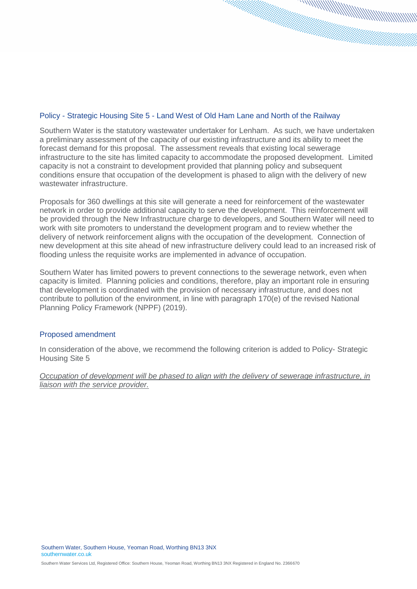### Policy - Strategic Housing Site 5 - Land West of Old Ham Lane and North of the Railway

Southern Water is the statutory wastewater undertaker for Lenham. As such, we have undertaken a preliminary assessment of the capacity of our existing infrastructure and its ability to meet the forecast demand for this proposal. The assessment reveals that existing local sewerage infrastructure to the site has limited capacity to accommodate the proposed development. Limited capacity is not a constraint to development provided that planning policy and subsequent conditions ensure that occupation of the development is phased to align with the delivery of new wastewater infrastructure.

Proposals for 360 dwellings at this site will generate a need for reinforcement of the wastewater network in order to provide additional capacity to serve the development. This reinforcement will be provided through the New Infrastructure charge to developers, and Southern Water will need to work with site promoters to understand the development program and to review whether the delivery of network reinforcement aligns with the occupation of the development. Connection of new development at this site ahead of new infrastructure delivery could lead to an increased risk of flooding unless the requisite works are implemented in advance of occupation.

Southern Water has limited powers to prevent connections to the sewerage network, even when capacity is limited. Planning policies and conditions, therefore, play an important role in ensuring that development is coordinated with the provision of necessary infrastructure, and does not contribute to pollution of the environment, in line with paragraph 170(e) of the revised National Planning Policy Framework (NPPF) (2019).

### Proposed amendment

In consideration of the above, we recommend the following criterion is added to Policy- Strategic Housing Site 5

*Occupation of development will be phased to align with the delivery of sewerage infrastructure, in liaison with the service provider.*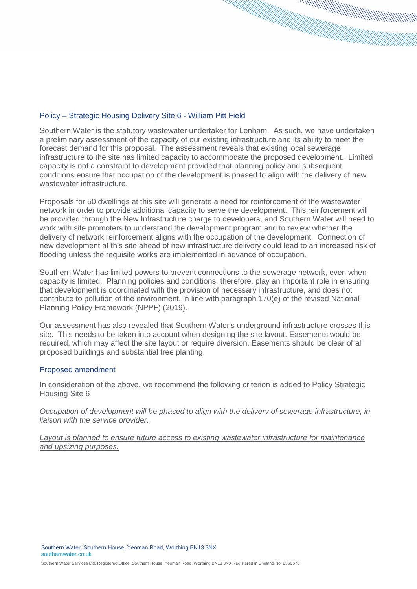### Policy – Strategic Housing Delivery Site 6 - William Pitt Field

Southern Water is the statutory wastewater undertaker for Lenham. As such, we have undertaken a preliminary assessment of the capacity of our existing infrastructure and its ability to meet the forecast demand for this proposal. The assessment reveals that existing local sewerage infrastructure to the site has limited capacity to accommodate the proposed development. Limited capacity is not a constraint to development provided that planning policy and subsequent conditions ensure that occupation of the development is phased to align with the delivery of new wastewater infrastructure.

Proposals for 50 dwellings at this site will generate a need for reinforcement of the wastewater network in order to provide additional capacity to serve the development. This reinforcement will be provided through the New Infrastructure charge to developers, and Southern Water will need to work with site promoters to understand the development program and to review whether the delivery of network reinforcement aligns with the occupation of the development. Connection of new development at this site ahead of new infrastructure delivery could lead to an increased risk of flooding unless the requisite works are implemented in advance of occupation.

Southern Water has limited powers to prevent connections to the sewerage network, even when capacity is limited. Planning policies and conditions, therefore, play an important role in ensuring that development is coordinated with the provision of necessary infrastructure, and does not contribute to pollution of the environment, in line with paragraph 170(e) of the revised National Planning Policy Framework (NPPF) (2019).

Our assessment has also revealed that Southern Water's underground infrastructure crosses this site. This needs to be taken into account when designing the site layout. Easements would be required, which may affect the site layout or require diversion. Easements should be clear of all proposed buildings and substantial tree planting.

### Proposed amendment

In consideration of the above, we recommend the following criterion is added to Policy Strategic Housing Site 6

*Occupation of development will be phased to align with the delivery of sewerage infrastructure, in liaison with the service provider.* 

*Layout is planned to ensure future access to existing wastewater infrastructure for maintenance and upsizing purposes.*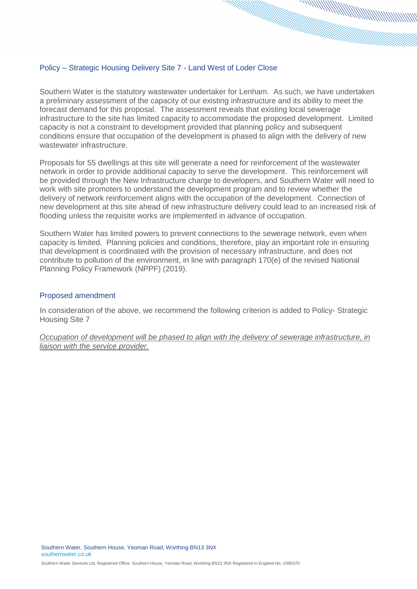#### Policy – Strategic Housing Delivery Site 7 - Land West of Loder Close

Southern Water is the statutory wastewater undertaker for Lenham. As such, we have undertaken a preliminary assessment of the capacity of our existing infrastructure and its ability to meet the forecast demand for this proposal. The assessment reveals that existing local sewerage infrastructure to the site has limited capacity to accommodate the proposed development. Limited capacity is not a constraint to development provided that planning policy and subsequent conditions ensure that occupation of the development is phased to align with the delivery of new wastewater infrastructure.

Proposals for 55 dwellings at this site will generate a need for reinforcement of the wastewater network in order to provide additional capacity to serve the development. This reinforcement will be provided through the New Infrastructure charge to developers, and Southern Water will need to work with site promoters to understand the development program and to review whether the delivery of network reinforcement aligns with the occupation of the development. Connection of new development at this site ahead of new infrastructure delivery could lead to an increased risk of flooding unless the requisite works are implemented in advance of occupation.

Southern Water has limited powers to prevent connections to the sewerage network, even when capacity is limited. Planning policies and conditions, therefore, play an important role in ensuring that development is coordinated with the provision of necessary infrastructure, and does not contribute to pollution of the environment, in line with paragraph 170(e) of the revised National Planning Policy Framework (NPPF) (2019).

#### Proposed amendment

In consideration of the above, we recommend the following criterion is added to Policy- Strategic Housing Site 7

*Occupation of development will be phased to align with the delivery of sewerage infrastructure, in liaison with the service provider.*